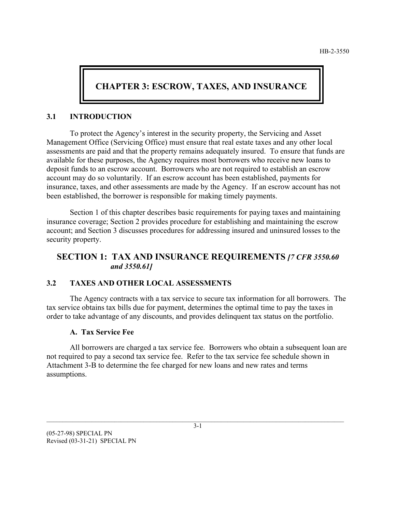# **CHAPTER 3: ESCROW, TAXES, AND INSURANCE**

### **3.1 INTRODUCTION**

To protect the Agency's interest in the security property, the Servicing and Asset Management Office (Servicing Office) must ensure that real estate taxes and any other local assessments are paid and that the property remains adequately insured. To ensure that funds are available for these purposes, the Agency requires most borrowers who receive new loans to deposit funds to an escrow account. Borrowers who are not required to establish an escrow account may do so voluntarily. If an escrow account has been established, payments for insurance, taxes, and other assessments are made by the Agency. If an escrow account has not been established, the borrower is responsible for making timely payments.

Section 1 of this chapter describes basic requirements for paying taxes and maintaining insurance coverage; Section 2 provides procedure for establishing and maintaining the escrow account; and Section 3 discusses procedures for addressing insured and uninsured losses to the security property.

# **SECTION 1: TAX AND INSURANCE REQUIREMENTS** *[7 CFR 3550.60 and 3550.61]*

# **3.2 TAXES AND OTHER LOCAL ASSESSMENTS**

The Agency contracts with a tax service to secure tax information for all borrowers. The tax service obtains tax bills due for payment, determines the optimal time to pay the taxes in order to take advantage of any discounts, and provides delinquent tax status on the portfolio.

### **A. Tax Service Fee**

All borrowers are charged a tax service fee. Borrowers who obtain a subsequent loan are not required to pay a second tax service fee. Refer to the tax service fee schedule shown in Attachment 3-B to determine the fee charged for new loans and new rates and terms assumptions.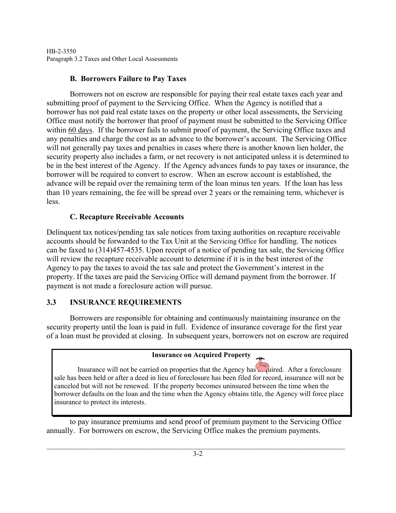HB-2-3550 Paragraph 3.2 Taxes and Other Local Assessments

# **B. Borrowers Failure to Pay Taxes**

Borrowers not on escrow are responsible for paying their real estate taxes each year and submitting proof of payment to the Servicing Office. When the Agency is notified that a borrower has not paid real estate taxes on the property or other local assessments, the Servicing Office must notify the borrower that proof of payment must be submitted to the Servicing Office within 60 days. If the borrower fails to submit proof of payment, the Servicing Office taxes and any penalties and charge the cost as an advance to the borrower's account. The Servicing Office will not generally pay taxes and penalties in cases where there is another known lien holder, the security property also includes a farm, or net recovery is not anticipated unless it is determined to be in the best interest of the Agency. If the Agency advances funds to pay taxes or insurance, the borrower will be required to convert to escrow. When an escrow account is established, the advance will be repaid over the remaining term of the loan minus ten years. If the loan has less than 10 years remaining, the fee will be spread over 2 years or the remaining term, whichever is less.

# **C. Recapture Receivable Accounts**

Delinquent tax notices/pending tax sale notices from taxing authorities on recapture receivable accounts should be forwarded to the Tax Unit at the Servicing Office for handling. The notices can be faxed to (314)457-4535. Upon receipt of a notice of pending tax sale, the Servicing Office will review the recapture receivable account to determine if it is in the best interest of the Agency to pay the taxes to avoid the tax sale and protect the Government's interest in the property. If the taxes are paid the Servicing Office will demand payment from the borrower. If payment is not made a foreclosure action will pursue.

# **3.3 INSURANCE REQUIREMENTS**

Borrowers are responsible for obtaining and continuously maintaining insurance on the security property until the loan is paid in full. Evidence of insurance coverage for the first year of a loan must be provided at closing. In subsequent years, borrowers not on escrow are required

# **Insurance on Acquired Property**

Insurance will not be carried on properties that the Agency has a quired. After a foreclosure sale has been held or after a deed in lieu of foreclosure has been filed for record, insurance will not be canceled but will not be renewed. If the property becomes uninsured between the time when the borrower defaults on the loan and the time when the Agency obtains title, the Agency will force place insurance to protect its interests.

to pay insurance premiums and send proof of premium payment to the Servicing Office annually. For borrowers on escrow, the Servicing Office makes the premium payments.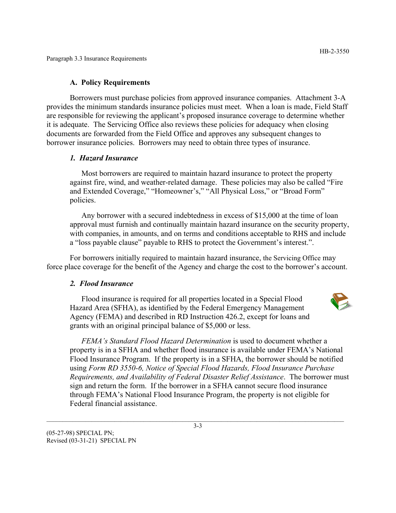Paragraph 3.3 Insurance Requirements

#### **A. Policy Requirements**

Borrowers must purchase policies from approved insurance companies. Attachment 3-A provides the minimum standards insurance policies must meet. When a loan is made, Field Staff are responsible for reviewing the applicant's proposed insurance coverage to determine whether it is adequate. The Servicing Office also reviews these policies for adequacy when closing documents are forwarded from the Field Office and approves any subsequent changes to borrower insurance policies. Borrowers may need to obtain three types of insurance.

#### *1. Hazard Insurance*

Most borrowers are required to maintain hazard insurance to protect the property against fire, wind, and weather-related damage. These policies may also be called "Fire and Extended Coverage," "Homeowner's," "All Physical Loss," or "Broad Form" policies.

Any borrower with a secured indebtedness in excess of \$15,000 at the time of loan approval must furnish and continually maintain hazard insurance on the security property, with companies, in amounts, and on terms and conditions acceptable to RHS and include a "loss payable clause" payable to RHS to protect the Government's interest.".

For borrowers initially required to maintain hazard insurance, the Servicing Office may force place coverage for the benefit of the Agency and charge the cost to the borrower's account.

#### *2. Flood Insurance*

Flood insurance is required for all properties located in a Special Flood Hazard Area (SFHA), as identified by the Federal Emergency Management Agency (FEMA) and described in RD Instruction 426.2, except for loans and grants with an original principal balance of \$5,000 or less.



*FEMA's Standard Flood Hazard Determination* is used to document whether a property is in a SFHA and whether flood insurance is available under FEMA's National Flood Insurance Program. If the property is in a SFHA, the borrower should be notified using *Form RD 3550-6, Notice of Special Flood Hazards, Flood Insurance Purchase Requirements, and Availability of Federal Disaster Relief Assistance*. The borrower must sign and return the form. If the borrower in a SFHA cannot secure flood insurance through FEMA's National Flood Insurance Program, the property is not eligible for Federal financial assistance.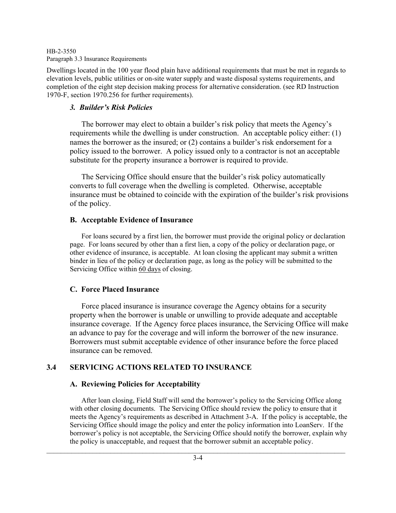#### HB-2-3550 Paragraph 3.3 Insurance Requirements

Dwellings located in the 100 year flood plain have additional requirements that must be met in regards to elevation levels, public utilities or on-site water supply and waste disposal systems requirements, and completion of the eight step decision making process for alternative consideration. (see RD Instruction 1970-F, section 1970.256 for further requirements).

# *3. Builder's Risk Policies*

The borrower may elect to obtain a builder's risk policy that meets the Agency's requirements while the dwelling is under construction. An acceptable policy either: (1) names the borrower as the insured; or (2) contains a builder's risk endorsement for a policy issued to the borrower. A policy issued only to a contractor is not an acceptable substitute for the property insurance a borrower is required to provide.

The Servicing Office should ensure that the builder's risk policy automatically converts to full coverage when the dwelling is completed. Otherwise, acceptable insurance must be obtained to coincide with the expiration of the builder's risk provisions of the policy.

# **B. Acceptable Evidence of Insurance**

For loans secured by a first lien, the borrower must provide the original policy or declaration page. For loans secured by other than a first lien, a copy of the policy or declaration page, or other evidence of insurance, is acceptable. At loan closing the applicant may submit a written binder in lieu of the policy or declaration page, as long as the policy will be submitted to the Servicing Office within 60 days of closing.

# **C. Force Placed Insurance**

Force placed insurance is insurance coverage the Agency obtains for a security property when the borrower is unable or unwilling to provide adequate and acceptable insurance coverage. If the Agency force places insurance, the Servicing Office will make an advance to pay for the coverage and will inform the borrower of the new insurance. Borrowers must submit acceptable evidence of other insurance before the force placed insurance can be removed.

# **3.4 SERVICING ACTIONS RELATED TO INSURANCE**

# **A. Reviewing Policies for Acceptability**

After loan closing, Field Staff will send the borrower's policy to the Servicing O ffice along with other closing documents. The Servicing Office should review the policy to ensure that it meets the Agency's requirements as described in Attachment 3-A. If the policy is ac ceptable, the Servicing Office should image the policy and enter the policy information into Loan Serv. If the borrower's policy is not acceptable, the Servicing Office should notify the borrower, explain why the policy is unacceptable, and request that the borrower submit an acceptable policy.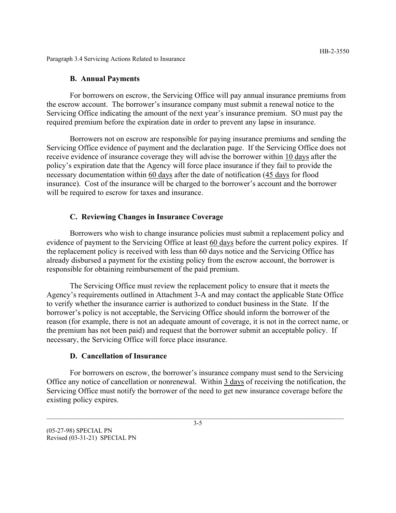Paragraph 3.4 Servicing Actions Related to Insurance

### **B. Annual Payments**

For borrowers on escrow, the Servicing Office will pay annual insurance premiums from the escrow account. The borrower's insurance company must submit a renewal notice to the Servicing Office indicating the amount of the next year's insurance premium. SO must pay the required premium before the expiration date in order to prevent any lapse in insurance.

Borrowers not on escrow are responsible for paying insurance premiums and sending the Servicing Office evidence of payment and the declaration page. If the Servicing Office does not receive evidence of insurance coverage they will advise the borrower within 10 days after the policy's expiration date that the Agency will force place insurance if they fail to provide the necessary documentation within 60 days after the date of notification (45 days for flood insurance). Cost of the insurance will be charged to the borrower's account and the borrower will be required to escrow for taxes and insurance.

# **C. Reviewing Changes in Insurance Coverage**

Borrowers who wish to change insurance policies must submit a r eplacement policy and evidence of payment to the Servicing Office at least 60 days before the current policy expires. If the replacement policy is received with less than 60 days notice and the S ervicing Office has already disbursed a payment for the existing policy from the escrow acco unt, the borrower is responsible for obtaining reimbursement of the paid premium.

The Servicing Office must review the replacement policy to ensure that it meets the Agency's requirements outlined in Attachment 3-A and may contact the applicable State Office to verify whether the insurance carrier is authorized to conduct business in the State. If the borrower's policy is not acceptable, the Servicing Office should inform the borrower of the reason (for example, there is not an adequate amount of coverage, it is not in the correct name, or the premium has not been paid) and request that the borrower submit an acceptable policy. If necessary, the Servicing Office will force place insurance.

# **D. Cancellation of Insurance**

For borrowers on escrow, the borrower's insurance company must send to the Servicing Office any notice of cancellation or nonrenewal. Within 3 days of receiving the notification, the Servicing Office must notify the borrower of the need to get new insurance coverage before the existing policy expires.

(05-27-98) SPECIAL PN Revised (03-31-21) SPECIAL PN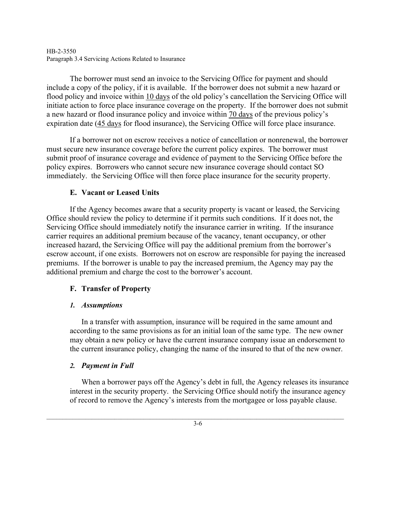#### HB-2-3550 Paragraph 3.4 Servicing Actions Related to Insurance

The borrower must send an invoice to the Servicing Office for payment and should include a copy of the policy, if it is available. If the borrower does not submit a new hazard or flood policy and invoice within 10 days of the old policy's cancellation the Servicing Office will initiate action to force place insurance coverage on the property. If the borrower does not submit a new hazard or flood insurance policy and invoice within 70 days of the previous policy's expiration date (45 days for flood insurance), the Servicing Office will force place insurance.

If a borrower not on escrow receives a notice of cancellation or nonrenewal, the borrower must secure new insurance coverage before the current policy expires. The borrower must submit proof of insurance coverage and evidence of payment to the Servicing Office before the policy expires. Borrowers who cannot secure new insurance coverage should contact SO immediately. the Servicing Office will then force place insurance for the security property.

### **E. Vacant or Leased Units**

If the Agency becomes aware that a security property is vacant or leased, the Servicing Office should review the policy to determine if it permits such conditions. If it does not, the Servicing Office should immediately notify the insurance carrier in writing. If the insurance carrier requires an additional premium because of the vacancy, tenant occupancy, or other increased hazard, the Servicing Office will pay the additional premium from the borrower's escrow account, if one exists. Borrowers not on escrow are responsible for paying the increased premiums. If the borrower is unable to pay the increased premium, the Agency may pay the additional premium and charge the cost to the borrower's account.

### **F. Transfer of Property**

### *1. Assumptions*

In a transfer with assumption, insurance will be required in the same amount and according to the same provisions as for an initial loan of the same type. The new owner may obtain a new policy or have the current insurance company issue an endorsement to the current insurance policy, changing the name of the insured to that of the new owner.

### *2. Payment in Full*

When a borrower pays off the Agency's debt in full, the Agency releases its insurance interest in the security property. the Servicing Office should notify the insurance agency of record to remove the Agency's interests from the mortgagee or loss payable clause.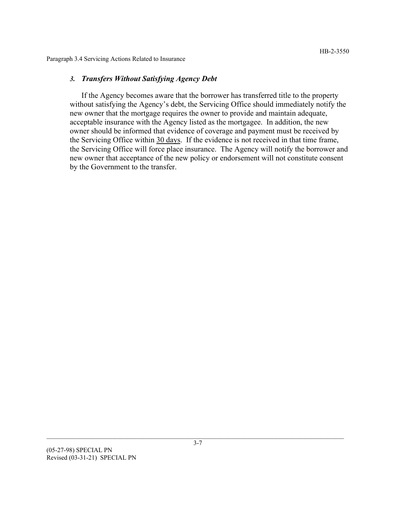Paragraph 3.4 Servicing Actions Related to Insurance

### *3. Transfers Without Satisfying Agency Debt*

If the Agency becomes aware that the borrower has transferred title to the property without satisfying the Agency's debt, the Servicing Office should immediately notify the new owner that the mortgage requires the owner to provide and maintain adequate, acceptable insurance with the Agency listed as the mortgagee. In addition, the new owner should be informed that evidence of coverage and payment must be received by the Servicing Office within 30 days. If the evidence is not received in that time frame, the Servicing Office will force place insurance. The Agency will notify the borrower and new owner that acceptance of the new policy or endorsement will not constitute consent by the Government to the transfer.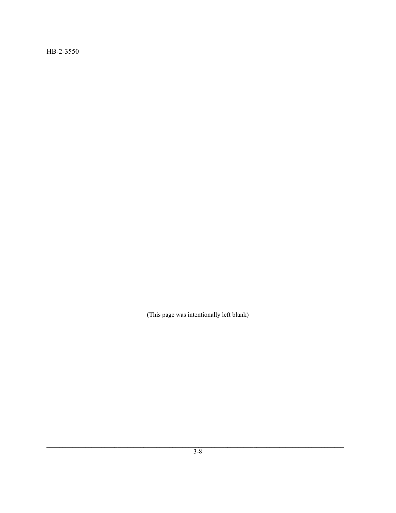HB-2-3550

(This page was intentionally left blank)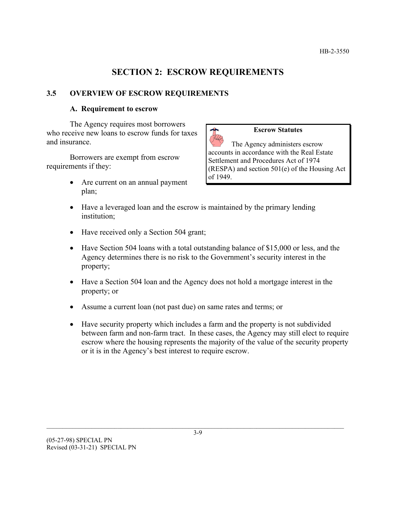# **SECTION 2: ESCROW REQUIREMENTS**

### **3.5 OVERVIEW OF ESCROW REQUIREMENTS**

### **A. Requirement to escrow**

The Agency requires most borrowers who receive new loans to escrow funds for taxes and insurance.

Borrowers are exempt from escrow requirements if they:

> • Are current on an annual payment plan;

### **Escrow Statutes**

The Agency administers escrow accounts in accordance with the Real Estate Settlement and Procedures Act of 1974 (RESPA) and section 501(e) of the Housing Act of 1949.

- Have a leveraged loan and the escrow is maintained by the primary lending institution;
- Have received only a Section 504 grant;
- Have Section 504 loans with a total outstanding balance of \$15,000 or less, and the Agency determines there is no risk to the Government's security interest in the property;
- Have a Section 504 loan and the Agency does not hold a mortgage interest in the property; or
- Assume a current loan (not past due) on same rates and terms; or
- Have security property which includes a farm and the property is not subdivided between farm and non-farm tract. In these cases, the Agency may still elect to require escrow where the housing represents the majority of the value of the security property or it is in the Agency's best interest to require escrow.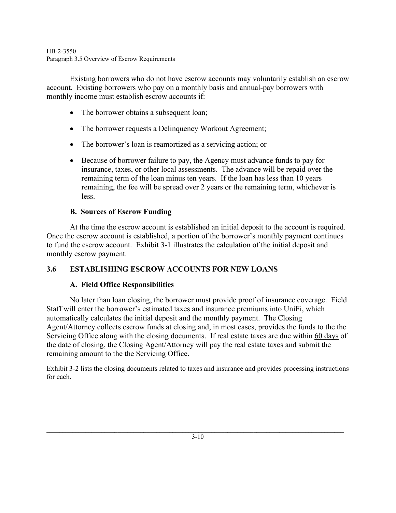Existing borrowers who do not have escrow accounts may voluntarily establish an escrow account. Existing borrowers who pay on a monthly basis and annual-pay borrowers with monthly income must establish escrow accounts if:

- The borrower obtains a subsequent loan;
- The borrower requests a Delinquency Workout Agreement;
- The borrower's loan is reamortized as a servicing action; or
- Because of borrower failure to pay, the Agency must advance funds to pay for insurance, taxes, or other local assessments. The advance will be repaid over the remaining term of the loan minus ten years. If the loan has less than 10 years remaining, the fee will be spread over 2 years or the remaining term, whichever is less.

# **B. Sources of Escrow Funding**

At the time the escrow account is established an initial deposit to the account is required. Once the escrow account is established, a portion of the borrower's monthly payment continues to fund the escrow account. Exhibit 3-1 illustrates the calculation of the initial deposit and monthly escrow payment.

# **3.6 ESTABLISHING ESCROW ACCOUNTS FOR NEW LOANS**

# **A. Field Office Responsibilities**

No later than loan closing, the borrower must provide proof of insurance coverage. Field Staff will enter the borrower's estimated taxes and insurance premiums into UniFi, which automatically calculates the initial deposit and the monthly payment. The Closing Agent/Attorney collects escrow funds at closing and, in most cases, provides the funds to the the Servicing Office along with the closing documents. If real estate taxes are due within 60 days of the date of closing, the Closing Agent/Attorney will pay the real estate taxes and submit the remaining amount to the the Servicing Office.

Exhibit 3-2 lists the closing documents related to taxes and insurance and provides processing instructions for each.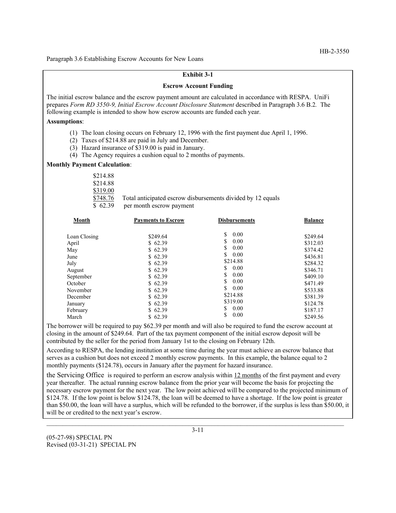HB-2-3550

### **Exhibit 3-1**

#### **Escrow Account Funding**

The initial escrow balance and the escrow payment amount are calculated in accordance with RESPA. UniFi prepares *Form RD 3550-9, Initial Escrow Account Disclosure Statement* described in Paragraph 3.6 B.2*.* The following example is intended to show how escrow accounts are funded each year.

#### **Assumptions**:

- (1) The loan closing occurs on February 12, 1996 with the first payment due April 1, 1996.
- (2) Taxes of \$214.88 are paid in July and December.
- (3) Hazard insurance of \$319.00 is paid in January.
- (4) The Agency requires a cushion equal to 2 months of payments.

#### **Monthly Payment Calculation**:

| \$214.88 |                                                             |
|----------|-------------------------------------------------------------|
| \$214.88 |                                                             |
| \$319.00 |                                                             |
| \$748.76 | Total anticipated escrow disbursements divided by 12 equals |
| \$62.39  | per month escrow payment                                    |

| Month                                                               | <b>Payments to Escrow</b>                                                  | <b>Disbursements</b>                                                                     | <b>Balance</b>                                                                   |
|---------------------------------------------------------------------|----------------------------------------------------------------------------|------------------------------------------------------------------------------------------|----------------------------------------------------------------------------------|
| Loan Closing<br>April<br>May<br>June<br>July<br>August<br>September | \$249.64<br>\$62.39<br>\$62.39<br>\$62.39<br>\$62.39<br>\$62.39<br>\$62.39 | \$<br>0.00<br>S<br>0.00<br>S<br>0.00<br>\$<br>0.00<br>\$214.88<br>S<br>0.00<br>S<br>0.00 | \$249.64<br>\$312.03<br>\$374.42<br>\$436.81<br>\$284.32<br>\$346.71<br>\$409.10 |
| October                                                             | \$62.39                                                                    | \$<br>0.00<br>S<br>0.00                                                                  | \$471.49                                                                         |
| November<br>December                                                | \$62.39<br>\$62.39                                                         | \$214.88                                                                                 | \$533.88<br>\$381.39                                                             |
| January                                                             | \$62.39                                                                    | \$319.00                                                                                 | \$124.78                                                                         |
| February                                                            | \$62.39                                                                    | 0.00<br>S                                                                                | \$187.17                                                                         |
| March                                                               | \$62.39                                                                    | S<br>0.00                                                                                | \$249.56                                                                         |

The borrower will be required to pay \$62.39 per month and will also be required to fund the escrow account at closing in the amount of \$249.64. Part of the tax payment component of the initial escrow deposit will be contributed by the seller for the period from January 1st to the closing on February 12th.

According to RESPA, the lending institution at some time during the year must achieve an escrow balance that serves as a cushion but does not exceed 2 monthly escrow payments. In this example, the balance equal to 2 monthly payments (\$124.78), occurs in January after the payment for hazard insurance.

the Servicing Office is required to perform an escrow analysis within 12 months of the first payment and every year thereafter. The actual running escrow balance from the prior year will become the basis for projecting the necessary escrow payment for the next year. The low point achieved will be compared to the projected minimum of \$124.78. If the low point is below \$124.78, the loan will be deemed to have a shortage. If the low point is greater than \$50.00, the loan will have a surplus, which will be refunded to the borrower, if the surplus is less than \$50.00, it will be or credited to the next year's escrow.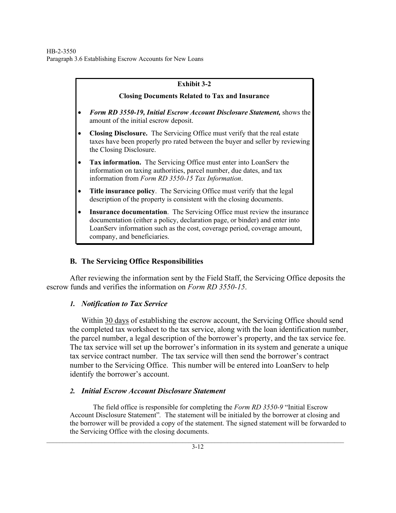

### **B. The Servicing Office Responsibilities**

After reviewing the information sent by the Field Staff, the Servicing Office deposits the escrow funds and verifies the information on *Form RD 3550-15*.

### *1. Notification to Tax Service*

Within 30 days of establishing the escrow account, the Servicing Office should send the completed tax worksheet to the tax service, along with the loan identification number, the parcel number, a legal description of the borrower's property, and the tax service fee. The tax service will set up the borrower's information in its system and generate a unique tax service contract number. The tax service will then send the borrower's contract number to the Servicing Office. This number will be entered into LoanServ to help identify the borrower's account.

### *2. Initial Escrow Account Disclosure Statement*

The field office is responsible for completing the *Form RD 3550-9* "Initial Escrow Account Disclosure Statement"*.* The statement will be initialed by the borrower at closing and the borrower will be provided a copy of the statement. The signed statement will be forwarded to the Servicing Office with the closing documents.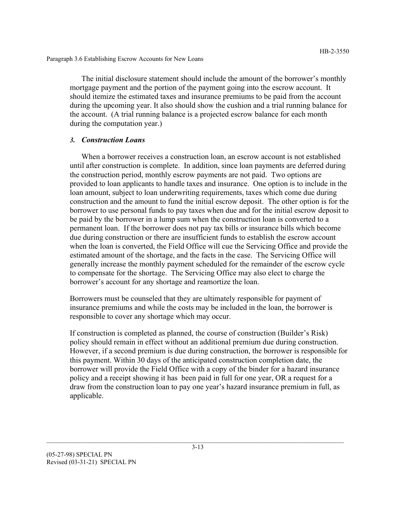The initial disclosure statement should include the amount of the borrower's monthly mortgage payment and the portion of the payment going into the escrow account. It should itemize the estimated taxes and insurance premiums to be paid from the account during the upcoming year. It also should show the cushion and a trial running balance for the account. (A trial running balance is a projected escrow balance for each month during the computation year.)

# *3. Construction Loans*

When a borrower receives a construction loan, an escrow account is not established until after construction is complete. In addition, since loan payments are deferred during the construction period, monthly escrow payments are not paid. Two options are provided to loan applicants to handle taxes and insurance. One option is to include in the loan amount, subject to loan underwriting requirements, taxes which come due during construction and the amount to fund the initial escrow deposit. The other option is for the borrower to use personal funds to pay taxes when due and for the initial escrow deposit to be paid by the borrower in a lump sum when the construction loan is converted to a permanent loan. If the borrower does not pay tax bills or insurance bills which become due during construction or there are insufficient funds to establish the escrow account when the loan is converted, the Field Office will cue the Servicing Office and provide the estimated amount of the shortage, and the facts in the case. The Servicing Office will generally increase the monthly payment scheduled for the remainder of the escrow cycle to compensate for the shortage. The Servicing Office may also elect to charge the borrower's account for any shortage and reamortize the loan.

Borrowers must be counseled that they are ultimately responsible for payment of insurance premiums and while the costs may be included in the loan, the borrower is responsible to cover any shortage which may occur.

If construction is completed as planned, the course of construction (Builder's Risk) policy should remain in effect without an additional premium due during construction. However, if a second premium is due during construction, the borrower is responsible for this payment. Within 30 days of the anticipated construction completion date, the borrower will provide the Field Office with a copy of the binder for a hazard insurance policy and a receipt showing it has been paid in full for one year, OR a request for a draw from the construction loan to pay one year's hazard insurance premium in full, as applicable.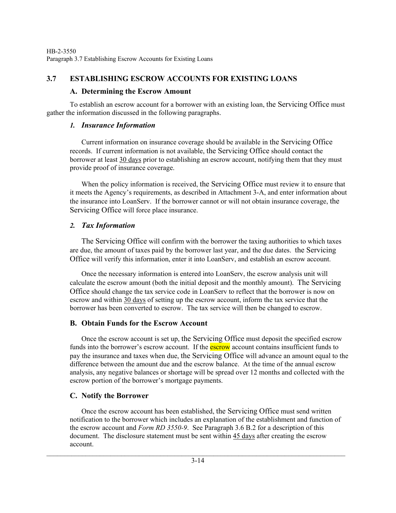HB-2-3550 Paragraph 3.7 Establishing Escrow Accounts for Existing Loans

# **3.7 ESTABLISHING ESCROW ACCOUNTS FOR EXISTING LOANS**

### **A. Determining the Escrow Amount**

To establish an escrow account for a borrower with an existing loan, the Servicing Office must gather the information discussed in the following paragraphs.

# *1. Insurance Information*

Current information on insurance coverage should be available in the Servicing Office records. If current information is not available, the Servicing Office should contact the borrower at least 30 days prior to establishing an escrow account, notifying them that they must provide proof of insurance coverage.

When the policy information is received, the Servicing Office must review it to ensure that it meets the Agency's requirements, as described in Attachment 3-A, and enter information about the insurance into LoanServ. If the borrower cannot or will not obtain insurance coverage, the Servicing Office will force place insurance.

# *2. Tax Information*

The Servicing Office will confirm with the borrower the taxing authorities to which taxes are due, the amount of taxes paid by the borrower last year, and the due dates. the Servicing Office will verify this information, enter it into LoanServ, and establish an escrow account.

Once the necessary information is entered into LoanServ, the escrow analysis unit will calculate the escrow amount (both the initial deposit and the monthly amount). The Servicing Office should change the tax service code in LoanServ to reflect that the borrower is now on escrow and within 30 days of setting up the escrow account, inform the tax service that the borrower has been converted to escrow. The tax service will then be changed to escrow.

# **B. Obtain Funds for the Escrow Account**

Once the escrow account is set up, the Servicing Office must deposit the specified escrow funds into the borrower's escrow account. If the **escrow** account contains insufficient funds to pay the insurance and taxes when due, the Servicing Office will advance an amount equal to the difference between the amount due and the escrow balance. At the time of the annual escrow analysis, any negative balances or shortage will be spread over 12 months and collected with the escrow portion of the borrower's mortgage payments.

# **C. Notify the Borrower**

Once the escrow account has been established, the Servicing Office must send written notification to the borrower which includes an explanation of the establishment and function of the escrow account and *Form RD 3550-9*. See Paragraph 3.6 B.2 for a description of this document. The disclosure statement must be sent within 45 days after creating the escrow account.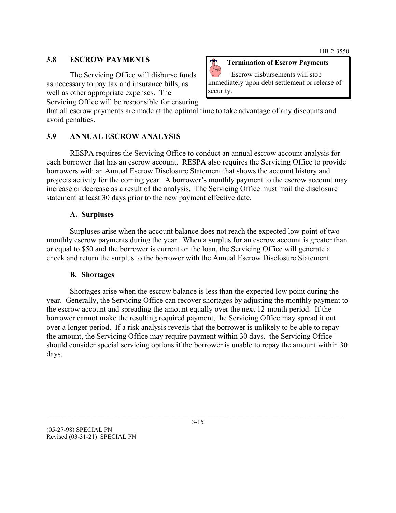HB-2-3550

# **3.8 ESCROW PAYMENTS Termination of Escrow Payments**

The Servicing Office will disburse funds<br>
Service in Escrow disbursements will stop<br>
immediately upon debt settlement or release of as necessary to pay tax and insurance bills, as  $\parallel$  immediately upon  $\parallel$  as other appropriate expenses. The well as other appropriate expenses. The Servicing Office will be responsible for ensuring



that all escrow payments are made at the optimal time to take advantage of any discounts and avoid penalties.

# **3.9 ANNUAL ESCROW ANALYSIS**

RESPA requires the Servicing Office to conduct an annual escrow account analysis for each borrower that has an escrow account. RESPA also requires the Servicing Office to provide borrowers with an Annual Escrow Disclosure Statement that shows the account history and projects activity for the coming year. A borrower's monthly payment to the escrow account may increase or decrease as a result of the analysis. The Servicing Office must mail the disclosure statement at least 30 days prior to the new payment effective date.

# **A. Surpluses**

Surpluses arise when the account balance does not reach the expected low point of two monthly escrow payments during the year. When a surplus for an escrow account is greater than or equal to \$50 and the borrower is current on the loan, the Servicing Office will generate a check and return the surplus to the borrower with the Annual Escrow Disclosure Statement.

# **B. Shortages**

Shortages arise when the escrow balance is less than the expected low point during the year. Generally, the Servicing Office can recover shortages by adjusting the monthly payment to the escrow account and spreading the amount equally over the next 12-month period. If the borrower cannot make the resulting required payment, the Servicing Office may spread it out over a longer period. If a risk analysis reveals that the borrower is unlikely to be able to repay the amount, the Servicing Office may require payment within 30 days. the Servicing Office should consider special servicing options if the borrower is unable to repay the amount within 30 days.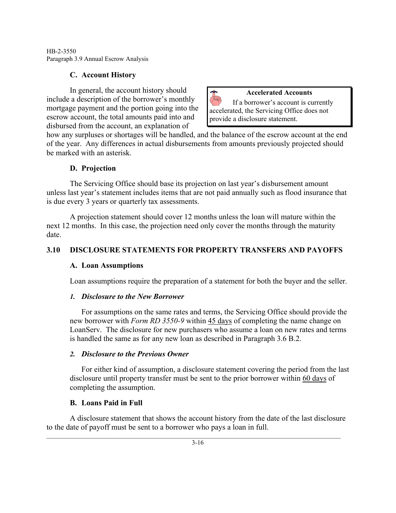HB-2-3550 Paragraph 3.9 Annual Escrow Analysis

### **C. Account History**

In general, the account history should include a description of the borrower's monthly mortgage payment and the portion going into the escrow account, the total amounts paid into and disbursed from the account, an explanation of

#### **Accelerated Accounts**

If a borrower's account is currently accelerated, the Servicing Office does not provide a disclosure statement.

how any surpluses or shortages will be handled, and the balance of the escrow account at the end of the year. Any differences in actual disbursements from amounts previously projected should be marked with an asterisk.

# **D. Projection**

The Servicing Office should base its projection on last year's disbursement amount unless last year's statement includes items that are not paid annually such as flood insurance that is due every 3 years or quarterly tax assessments.

A projection statement should cover 12 months unless the loan will mature within the next 12 months. In this case, the projection need only cover the months through the maturity date.

# **3.10 DISCLOSURE STATEMENTS FOR PROPERTY TRANSFERS AND PAYOFFS**

### **A. Loan Assumptions**

Loan assumptions require the preparation of a statement for both the buyer and the seller.

### *1. Disclosure to the New Borrower*

For assumptions on the same rates and terms, the Servicing Office should provide the new borrower with *Form RD 3550-9* within 45 days of completing the name change on LoanServ. The disclosure for new purchasers who assume a loan on new rates and terms is handled the same as for any new loan as described in Paragraph 3.6 B.2.

### *2. Disclosure to the Previous Owner*

For either kind of assumption, a disclosure statement covering the period from the last disclosure until property transfer must be sent to the prior borrower within 60 days of completing the assumption.

# **B. Loans Paid in Full**

A disclosure statement that shows the account history from the date of the last disclosure to the date of payoff must be sent to a borrower who pays a loan in full.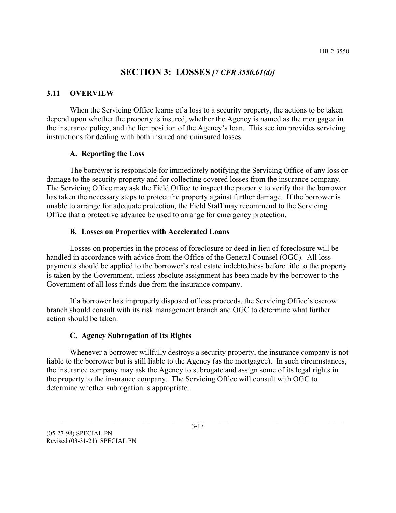# **SECTION 3: LOSSES** *[7 CFR 3550.61(d)]*

# **3.11 OVERVIEW**

When the Servicing Office learns of a loss to a security property, the actions to be taken depend upon whether the property is insured, whether the Agency is named as the mortgagee in the insurance policy, and the lien position of the Agency's loan. This section provides servicing instructions for dealing with both insured and uninsured losses.

# **A. Reporting the Loss**

The borrower is responsible for immediately notifying the Servicing Office of any loss or damage to the security property and for collecting covered losses from the insurance company. The Servicing Office may ask the Field Office to inspect the property to verify that the borrower has taken the necessary steps to protect the property against further damage. If the borrower is unable to arrange for adequate protection, the Field Staff may recommend to the Servicing Office that a protective advance be used to arrange for emergency protection.

# **B. Losses on Properties with Accelerated Loans**

Losses on properties in the process of foreclosure or deed in lieu of foreclosure will be handled in accordance with advice from the Office of the General Counsel (OGC). All loss payments should be applied to the borrower's real estate indebtedness before title to the property is taken by the Government, unless absolute assignment has been made by the borrower to the Government of all loss funds due from the insurance company.

If a borrower has improperly disposed of loss proceeds, the Servicing Office's escrow branch should consult with its risk management branch and OGC to determine what further action should be taken.

# **C. Agency Subrogation of Its Rights**

Whenever a borrower willfully destroys a security property, the insurance company is not liable to the borrower but is still liable to the Agency (as the mortgagee). In such circumstances, the insurance company may ask the Agency to subrogate and assign some of its legal rights in the property to the insurance company. The Servicing Office will consult with OGC to determine whether subrogation is appropriate.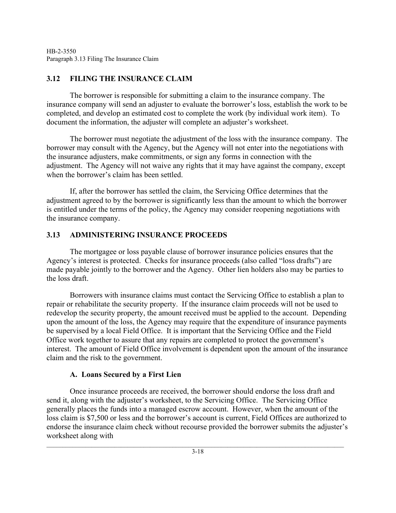# **3.12 FILING THE INSURANCE CLAIM**

The borrower is responsible for submitting a claim to the insurance company. The insurance company will send an adjuster to evaluate the borrower's loss, establish the work to be completed, and develop an estimated cost to complete the work (by individual work item). To document the information, the adjuster will complete an adjuster's worksheet.

The borrower must negotiate the adjustment of the loss with the insurance company. The borrower may consult with the Agency, but the Agency will not enter into the negotiations with the insurance adjusters, make commitments, or sign any forms in connection with the adjustment. The Agency will not waive any rights that it may have against the company, except when the borrower's claim has been settled.

If, after the borrower has settled the claim, the Servicing Office determines that the adjustment agreed to by the borrower is significantly less than the amount to which the borrower is entitled under the terms of the policy, the Agency may consider reopening negotiations with the insurance company.

# **3.13 ADMINISTERING INSURANCE PROCEEDS**

The mortgagee or loss payable clause of borrower insurance policies ensures that the Agency's interest is protected. Checks for insurance proceeds (also called "loss drafts") are made payable jointly to the borrower and the Agency. Other lien holders also may be parties to the loss draft.

Borrowers with insurance claims must contact the Servicing Office to establish a plan to repair or rehabilitate the security property. If the insurance claim proceeds will not be used to redevelop the security property, the amount received must be applied to the account. Depending upon the amount of the loss, the Agency may require that the expenditure of insurance payments be supervised by a local Field Office. It is important that the Servicing Office and the Field Office work together to assure that any repairs are completed to protect the government's interest. The amount of Field Office involvement is dependent upon the amount of the insurance claim and the risk to the government.

# **A. Loans Secured by a First Lien**

Once insurance proceeds are received, the borrower should endorse the loss draft and send it, along with the adjuster's worksheet, to the Servicing Office. The Servicing Office generally places the funds into a managed escrow account. However, when the amount of the loss claim is \$7,500 or less and the borrower's account is current, Field Offices are authorized to endorse the insurance claim check without recourse provided the borrower submits the adjuster's worksheet along with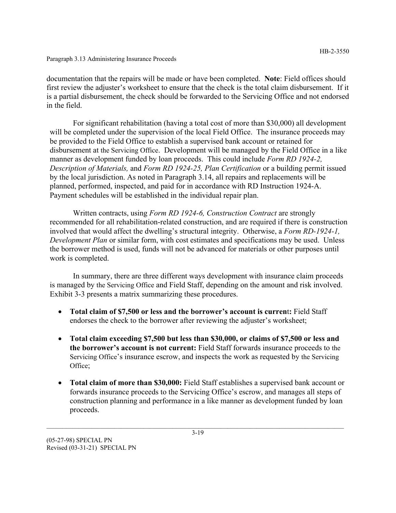Paragraph 3.13 Administering Insurance Proceeds

documentation that the repairs will be made or have been completed. **Note**: Field offices should first review the adjuster's worksheet to ensure that the check is the total claim disbursement. If it is a partial disbursement, the check should be forwarded to the Servicing Office and not endorsed in the field.

For significant rehabilitation (having a total cost of more than \$30,000) all development will be completed under the supervision of the local Field Office. The insurance proceeds may be provided to the Field Office to establish a supervised bank account or retained for disbursement at the Servicing Office. Development will be managed by the Field Office in a like manner as development funded by loan proceeds. This could include *Form RD 1924-2, Description of Materials,* and *Form RD 1924-25, Plan Certification* or a building permit issued by the local jurisdiction. As noted in Paragraph 3.14, all repairs and replacements will be planned, performed, inspected, and paid for in accordance with RD Instruction 1924-A. Payment schedules will be established in the individual repair plan.

Written contracts, using *Form RD 1924-6, Construction Contract* are strongly recommended for all rehabilitation-related construction, and are required if there is construction involved that would affect the dwelling's structural integrity. Otherwise, a *Form RD-1924-1, Development Plan* or similar form, with cost estimates and specifications may be used. Unless the borrower method is used, funds will not be advanced for materials or other purposes until work is completed.

In summary, there are three different ways development with insurance claim proceeds is managed by the Servicing Office and Field Staff, depending on the amount and risk involved. Exhibit 3-3 presents a matrix summarizing these procedures.

- **Total claim of \$7,500 or less and the borrower's account is curren**t**:** Field Staff endorses the check to the borrower after reviewing the adjuster's worksheet;
- **Total claim exceeding \$7,500 but less than \$30,000, or claims of \$7,500 or less and the borrower's account is not current:** Field Staff forwards insurance proceeds to the Servicing Office's insurance escrow, and inspects the work as requested by the Servicing Office;
- **Total claim of more than \$30,000:** Field Staff establishes a supervised bank account or forwards insurance proceeds to the Servicing Office's escrow, and manages all steps of construction planning and performance in a like manner as development funded by loan proceeds.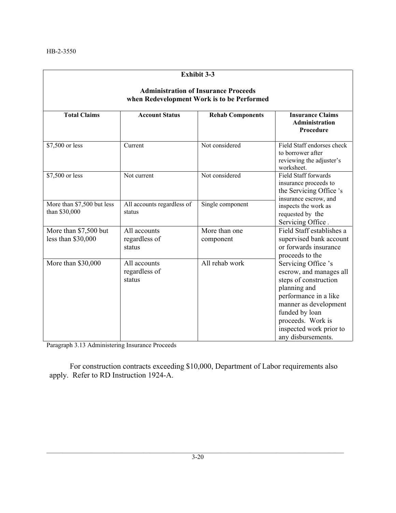### **Exhibit 3-3**

# **Administration of Insurance Proceeds when Redevelopment Work is to be Performed**

| <b>Total Claims</b>                          | <b>Account Status</b>                   | <b>Rehab Components</b>    | <b>Insurance Claims</b><br><b>Administration</b><br>Procedure                                                                                                                                                                     |
|----------------------------------------------|-----------------------------------------|----------------------------|-----------------------------------------------------------------------------------------------------------------------------------------------------------------------------------------------------------------------------------|
| \$7,500 or less                              | Current                                 | Not considered             | Field Staff endorses check<br>to borrower after<br>reviewing the adjuster's<br>worksheet.                                                                                                                                         |
| \$7,500 or less                              | Not current                             | Not considered             | <b>Field Staff forwards</b><br>insurance proceeds to<br>the Servicing Office's<br>insurance escrow, and                                                                                                                           |
| More than \$7,500 but less<br>than \$30,000  | All accounts regardless of<br>status    | Single component           | inspects the work as<br>requested by the<br>Servicing Office.                                                                                                                                                                     |
| More than \$7,500 but<br>less than $$30,000$ | All accounts<br>regardless of<br>status | More than one<br>component | Field Staff establishes a<br>supervised bank account<br>or forwards insurance<br>proceeds to the                                                                                                                                  |
| More than \$30,000                           | All accounts<br>regardless of<br>status | All rehab work             | Servicing Office 's<br>escrow, and manages all<br>steps of construction<br>planning and<br>performance in a like<br>manner as development<br>funded by loan<br>proceeds. Work is<br>inspected work prior to<br>any disbursements. |

Paragraph 3.13 Administering Insurance Proceeds

For construction contracts exceeding \$10,000, Department of Labor requirements also apply. Refer to RD Instruction 1924-A.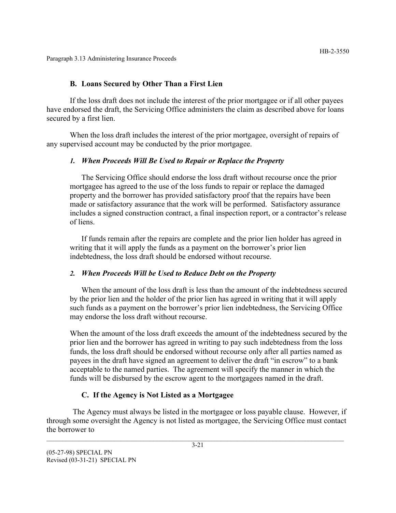Paragraph 3.13 Administering Insurance Proceeds

# **B. Loans Secured by Other Than a First Lien**

If the loss draft does not include the interest of the prior mortgagee or if all other payees have endorsed the draft, the Servicing Office administers the claim as described above for loans secured by a first lien.

When the loss draft includes the interest of the prior mortgagee, oversight of repairs of any supervised account may be conducted by the prior mortgagee.

# *1. When Proceeds Will Be Used to Repair or Replace the Property*

The Servicing Office should endorse the loss draft without recourse once the prior mortgagee has agreed to the use of the loss funds to repair or replace the damaged property and the borrower has provided satisfactory proof that the repairs have been made or satisfactory assurance that the work will be performed. Satisfactory assurance includes a signed construction contract, a final inspection report, or a contractor's release of liens.

If funds remain after the repairs are complete and the prior lien holder has agreed in writing that it will apply the funds as a payment on the borrower's prior lien indebtedness, the loss draft should be endorsed without recourse.

# *2. When Proceeds Will be Used to Reduce Debt on the Property*

When the amount of the loss draft is less than the amount of the indebtedness secured by the prior lien and the holder of the prior lien has agreed in writing that it will apply such funds as a payment on the borrower's prior lien indebtedness, the Servicing Office may endorse the loss draft without recourse.

When the amount of the loss draft exceeds the amount of the indebtedness secured by the prior lien and the borrower has agreed in writing to pay such indebtedness from the loss funds, the loss draft should be endorsed without recourse only after all parties named as payees in the draft have signed an agreement to deliver the draft "in escrow" to a bank acceptable to the named parties. The agreement will specify the manner in which the funds will be disbursed by the escrow agent to the mortgagees named in the draft.

# **C. If the Agency is Not Listed as a Mortgagee**

The Agency must always be listed in the mortgagee or loss payable clause. However, if through some oversight the Agency is not listed as mortgagee, the Servicing Office must contact the borrower to  $\blacksquare$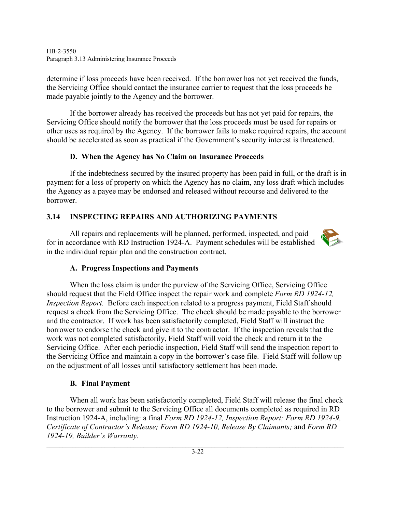HB-2-3550 Paragraph 3.13 Administering Insurance Proceeds

determine if loss proceeds have been received. If the borrower has not yet received the funds, the Servicing Office should contact the insurance carrier to request that the loss proceeds be made payable jointly to the Agency and the borrower.

If the borrower already has received the proceeds but has not yet paid for repairs, the Servicing Office should notify the borrower that the loss proceeds must be used for repairs or other uses as required by the Agency. If the borrower fails to make required repairs, the account should be accelerated as soon as practical if the Government's security interest is threatened.

# **D. When the Agency has No Claim on Insurance Proceeds**

If the indebtedness secured by the insured property has been paid in full, or the draft is in payment for a loss of property on which the Agency has no claim, any loss draft which includes the Agency as a payee may be endorsed and released without recourse and delivered to the borrower.

# **3.14 INSPECTING REPAIRS AND AUTHORIZING PAYMENTS**

All repairs and replacements will be planned, performed, inspected, and paid for in accordance with RD Instruction 1924-A. Payment schedules will be established in the individual repair plan and the construction contract.



# **A. Progress Inspections and Payments**

When the loss claim is under the purview of the Servicing Office, Servicing Office should request that the Field Office inspect the repair work and complete *Form RD 1924-12, Inspection Report.* Before each inspection related to a progress payment, Field Staff should request a check from the Servicing Office. The check should be made payable to the borrower and the contractor. If work has been satisfactorily completed, Field Staff will instruct the borrower to endorse the check and give it to the contractor. If the inspection reveals that the work was not completed satisfactorily, Field Staff will void the check and return it to the Servicing Office. After each periodic inspection, Field Staff will send the inspection report to the Servicing Office and maintain a copy in the borrower's case file. Field Staff will follow up on the adjustment of all losses until satisfactory settlement has been made.

### **B. Final Payment**

When all work has been satisfactorily completed, Field Staff will release the final check to the borrower and submit to the Servicing Office all documents completed as required in RD Instruction 1924-A, including: a final *Form RD 1924-12, Inspection Report; Form RD 1924-9, Certificate of Contractor's Release; Form RD 1924-10, Release By Claimants;* and *Form RD 1924-19, Builder's Warranty.*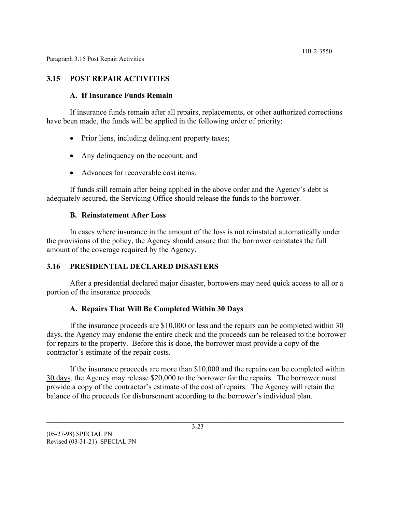Paragraph 3.15 Post Repair Activities

# **3.15 POST REPAIR ACTIVITIES**

### **A. If Insurance Funds Remain**

If insurance funds remain after all repairs, replacements, or other authorized corrections have been made, the funds will be applied in the following order of priority:

- Prior liens, including delinquent property taxes;
- Any delinguency on the account; and
- Advances for recoverable cost items.

If funds still remain after being applied in the above order and the Agency's debt is adequately secured, the Servicing Office should release the funds to the borrower.

### **B. Reinstatement After Loss**

In cases where insurance in the amount of the loss is not reinstated automatically under the provisions of the policy, the Agency should ensure that the borrower reinstates the full amount of the coverage required by the Agency.

### **3.16 PRESIDENTIAL DECLARED DISASTERS**

After a presidential declared major disaster, borrowers may need quick access to all or a portion of the insurance proceeds.

# **A. Repairs That Will Be Completed Within 30 Days**

If the insurance proceeds are \$10,000 or less and the repairs can be completed within 30 days, the Agency may endorse the entire check and the proceeds can be released to the borrower for repairs to the property. Before this is done, the borrower must provide a copy of the contractor's estimate of the repair costs.

If the insurance proceeds are more than \$10,000 and the repairs can be completed within 30 days, the Agency may release \$20,000 to the borrower for the repairs. The borrower must provide a copy of the contractor's estimate of the cost of repairs. The Agency will retain the balance of the proceeds for disbursement according to the borrower's individual plan.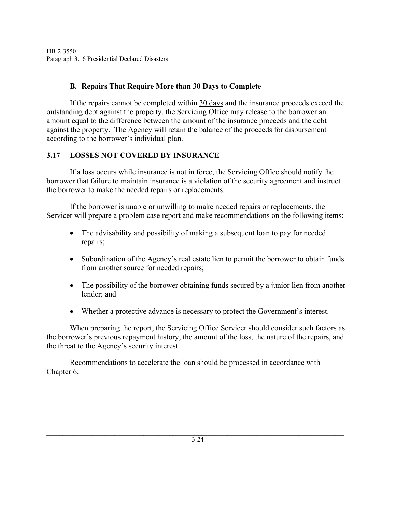HB-2-3550 Paragraph 3.16 Presidential Declared Disasters

# **B. Repairs That Require More than 30 Days to Complete**

If the repairs cannot be completed within 30 days and the insurance proceeds exceed the outstanding debt against the property, the Servicing Office may release to the borrower an amount equal to the difference between the amount of the insurance proceeds and the debt against the property. The Agency will retain the balance of the proceeds for disbursement according to the borrower's individual plan.

# **3.17 LOSSES NOT COVERED BY INSURANCE**

If a loss occurs while insurance is not in force, the Servicing Office should notify the borrower that failure to maintain insurance is a violation of the security agreement and instruct the borrower to make the needed repairs or replacements.

If the borrower is unable or unwilling to make needed repairs or replacements, the Servicer will prepare a problem case report and make recommendations on the following items:

- The advisability and possibility of making a subsequent loan to pay for needed repairs;
- Subordination of the Agency's real estate lien to permit the borrower to obtain funds from another source for needed repairs;
- The possibility of the borrower obtaining funds secured by a junior lien from another lender; and
- Whether a protective advance is necessary to protect the Government's interest.

When preparing the report, the Servicing Office Servicer should consider such factors as the borrower's previous repayment history, the amount of the loss, the nature of the repairs, and the threat to the Agency's security interest.

Recommendations to accelerate the loan should be processed in accordance with Chapter 6.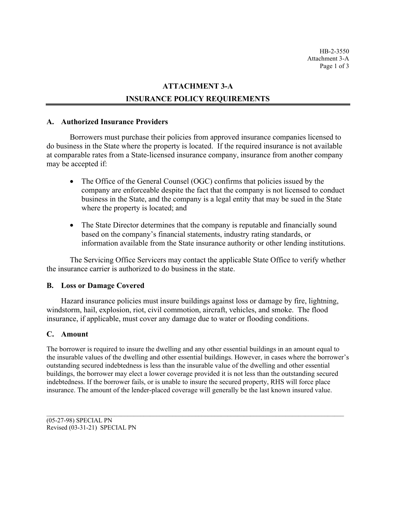HB-2-3550 Attachment 3-A Page 1 of 3

### **ATTACHMENT 3-A**

# **INSURANCE POLICY REQUIREMENTS**

### **A. Authorized Insurance Providers**

Borrowers must purchase their policies from approved insurance companies licensed to do business in the State where the property is located. If the required insurance is not available at comparable rates from a State-licensed insurance company, insurance from another company may be accepted if:

- The Office of the General Counsel (OGC) confirms that policies issued by the company are enforceable despite the fact that the company is not licensed to conduct business in the State, and the company is a legal entity that may be sued in the State where the property is located; and
- The State Director determines that the company is reputable and financially sound based on the company's financial statements, industry rating standards, or information available from the State insurance authority or other lending institutions.

The Servicing Office Servicers may contact the applicable State Office to verify whether the insurance carrier is authorized to do business in the state.

### **B. Loss or Damage Covered**

Hazard insurance policies must insure buildings against loss or damage by fire, lightning, windstorm, hail, explosion, riot, civil commotion, aircraft, vehicles, and smoke. The flood insurance, if applicable, must cover any damage due to water or flooding conditions.

### **C. Amount**

The borrower is required to insure the dwelling and any other essential buildings in an amount equal to the insurable values of the dwelling and other essential buildings. However, in cases where the borrower's outstanding secured indebtedness is less than the insurable value of the dwelling and other essential buildings, the borrower may elect a lower coverage provided it is not less than the outstanding secured indebtedness. If the borrower fails, or is unable to insure the secured property, RHS will force place insurance. The amount of the lender-placed coverage will generally be the last known insured value.

\_\_\_\_\_\_\_\_\_\_\_\_\_\_\_\_\_\_\_\_\_\_\_\_\_\_\_\_\_\_\_\_\_\_\_\_\_\_\_\_\_\_\_\_\_\_\_\_\_\_\_\_\_\_\_\_\_\_\_\_\_\_\_\_\_\_\_\_\_\_\_\_\_\_\_\_\_\_\_\_\_\_\_\_\_\_\_\_\_\_\_\_

(05-27-98) SPECIAL PN Revised (03-31-21) SPECIAL PN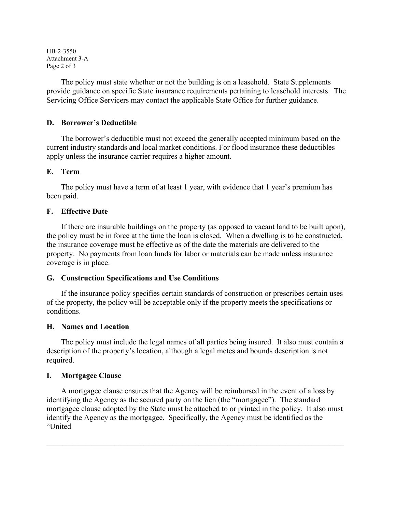HB-2-3550 Attachment 3-A Page 2 of 3

The policy must state whether or not the building is on a leasehold. State Supplements provide guidance on specific State insurance requirements pertaining to leasehold interests. The Servicing Office Servicers may contact the applicable State Office for further guidance.

# **D. Borrower's Deductible**

The borrower's deductible must not exceed the generally accepted minimum based on the current industry standards and local market conditions. For flood insurance these deductibles apply unless the insurance carrier requires a higher amount.

### **E. Term**

The policy must have a term of at least 1 year, with evidence that 1 year's premium has been paid.

# **F. Effective Date**

If there are insurable buildings on the property (as opposed to vacant land to be built upon), the policy must be in force at the time the loan is closed. When a dwelling is to be constructed, the insurance coverage must be effective as of the date the materials are delivered to the property. No payments from loan funds for labor or materials can be made unless insurance coverage is in place.

### **G. Construction Specifications and Use Conditions**

If the insurance policy specifies certain standards of construction or prescribes certain uses of the property, the policy will be acceptable only if the property meets the specifications or conditions.

### **H. Names and Location**

The policy must include the legal names of all parties being insured. It also must contain a description of the property's location, although a legal metes and bounds description is not required.

### **I. Mortgagee Clause**

A mortgagee clause ensures that the Agency will be reimbursed in the event of a loss by identifying the Agency as the secured party on the lien (the "mortgagee"). The standard mortgagee clause adopted by the State must be attached to or printed in the policy. It also must identify the Agency as the mortgagee. Specifically, the Agency must be identified as the "United

 $\mathcal{L}_\mathcal{L} = \mathcal{L}_\mathcal{L} = \mathcal{L}_\mathcal{L} = \mathcal{L}_\mathcal{L} = \mathcal{L}_\mathcal{L} = \mathcal{L}_\mathcal{L} = \mathcal{L}_\mathcal{L} = \mathcal{L}_\mathcal{L} = \mathcal{L}_\mathcal{L} = \mathcal{L}_\mathcal{L} = \mathcal{L}_\mathcal{L} = \mathcal{L}_\mathcal{L} = \mathcal{L}_\mathcal{L} = \mathcal{L}_\mathcal{L} = \mathcal{L}_\mathcal{L} = \mathcal{L}_\mathcal{L} = \mathcal{L}_\mathcal{L}$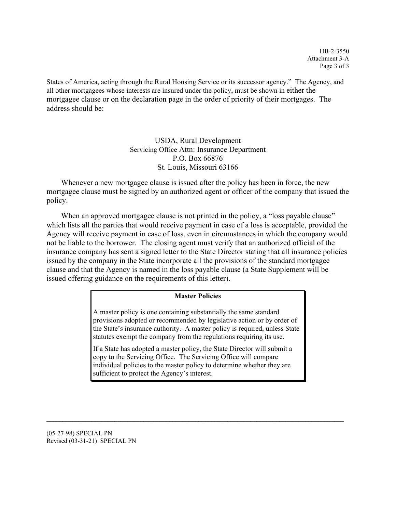States of America, acting through the Rural Housing Service or its successor agency." The Agency, and all other mortgagees whose interests are insured under the policy, must be shown in either the mortgagee clause or on the declaration page in the order of priority of their mortgages. The address should be:

> USDA, Rural Development Servicing Office Attn: Insurance Department P.O. Box 66876 St. Louis, Missouri 63166

Whenever a new mortgagee clause is issued after the policy has been in force, the new mortgagee clause must be signed by an authorized agent or officer of the company that issued the policy.

When an approved mortgagee clause is not printed in the policy, a "loss payable clause" which lists all the parties that would receive payment in case of a loss is acceptable, provided the Agency will receive payment in case of loss, even in circumstances in which the company would not be liable to the borrower. The closing agent must verify that an authorized official of the insurance company has sent a signed letter to the State Director stating that all insurance policies issued by the company in the State incorporate all the provisions of the standard mortgagee clause and that the Agency is named in the loss payable clause (a State Supplement will be issued offering guidance on the requirements of this letter).

### **Master Policies**

A master policy is one containing substantially the same standard provisions adopted or recommended by legislative action or by order of the State's insurance authority. A master policy is required, unless State statutes exempt the company from the regulations requiring its use.

If a State has adopted a master policy, the State Director will submit a copy to the Servicing Office. The Servicing Office will compare individual policies to the master policy to determine whether they are sufficient to protect the Agency's interest.

 $\mathcal{L}_\mathcal{L} = \mathcal{L}_\mathcal{L} = \mathcal{L}_\mathcal{L} = \mathcal{L}_\mathcal{L} = \mathcal{L}_\mathcal{L} = \mathcal{L}_\mathcal{L} = \mathcal{L}_\mathcal{L} = \mathcal{L}_\mathcal{L} = \mathcal{L}_\mathcal{L} = \mathcal{L}_\mathcal{L} = \mathcal{L}_\mathcal{L} = \mathcal{L}_\mathcal{L} = \mathcal{L}_\mathcal{L} = \mathcal{L}_\mathcal{L} = \mathcal{L}_\mathcal{L} = \mathcal{L}_\mathcal{L} = \mathcal{L}_\mathcal{L}$ 

(05-27-98) SPECIAL PN Revised (03-31-21) SPECIAL PN